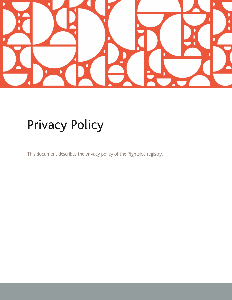

# Privacy Policy

This document describes the privacy policy of the Rightside registry.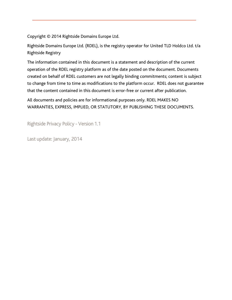Copyright © 2014 Rightside Domains Europe Ltd.

Rightside Domains Europe Ltd. (RDEL), is the registry operator for United TLD Holdco Ltd. t/a Rightside Registry

The information contained in this document is a statement and description of the current operation of the RDEL registry platform as of the date posted on the document. Documents created on behalf of RDEL customers are not legally binding commitments; content is subject to change from time to time as modifications to the platform occur. RDEL does not guarantee that the content contained in this document is error-free or current after publication.

All documents and policies are for informational purposes only. RDEL MAKES NO WARRANTIES, EXPRESS, IMPLIED, OR STATUTORY, BY PUBLISHING THESE DOCUMENTS.

Rightside Privacy Policy - Version 1.1

Last update: January, 2014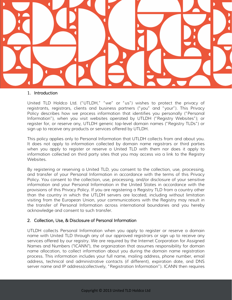

#### 1. Introduction

United TLD Holdco Ltd. ("UTLDH," "we" or "us") wishes to protect the privacy of registrants, registrars, clients and business partners ("you" and "your"). This Privacy Policy describes how we process information that identifies you personally ("Personal Information"), when you visit websites operated by UTLDH ("Registry Websites"); or register for, or reserve any, UTLDH generic top-level domain names ("Registry TLDs") or sign up to receive any products or services offered by UTLDH.

This policy applies only to Personal Information that UTLDH collects from and about you. It does not apply to information collected by domain name registrars or third parties when you apply to register or reserve a United TLD with them nor does it apply to information collected on third party sites that you may access via a link to the Registry Websites.

By registering or reserving a United TLD, you consent to the collection, use, processing, and transfer of your Personal Information in accordance with the terms of this Privacy Policy. You consent to the collection, use, processing, and/or disclosure of your sensitive information and your Personal Information in the United States in accordance with the provisions of this Privacy Policy. If you are registering a Registry TLD from a country other than the country in which the UTLDH servers are located, including without limitation visiting from the European Union, your communications with the Registry may result in the transfer of Personal Information across international boundaries and you hereby acknowledge and consent to such transfer.

## 2. Collection, Use, & Disclosure of Personal Information

UTLDH collects Personal Information when you apply to register or reserve a domain name with United TLD through any of our approved registrars or sign up to receive any services offered by our registry. We are required by the Internet Corporation for Assigned Names and Numbers ("ICANN"), the organization that assumes responsibility for domain name allocation, to collect information about you during the domain name registration process. This information includes your full name, mailing address, phone number, email address, technical and administrative contacts (if different), expiration date, and DNS server name and IP address(collectively, "Registration Information"). ICANN then requires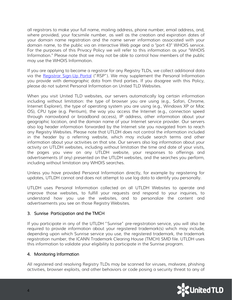all registrars to make your full name, mailing address, phone number, email address, and, where provided, your facsimile number, as well as the creation and expiration dates of your domain name registration and the name server information associated with your domain name, to the public via an interactive Web page and a "port 43" WHOIS service. For the purposes of this Privacy Policy we will refer to this information as your "WHOIS Information." Please note that we may not be able to control how members of the public may use the WHOIS Information.

If you are applying to become a registrar for any Registry TLDs, we collect additional data via the [Registrar Sign-Up Portal](https://signup.unitedtld.com/signup) ("RSP"). We may supplement the Personal Information you provide with demographic data from third parties. If you disagree with this Policy, please do not submit Personal Information on United TLD Websites.

When you visit United TLD websites, our servers automatically log certain information including without limitation: the type of browser you are using (e.g., Safari, Chrome, Internet Explorer), the type of operating system you are using (e.g., Windows XP or Mac OS), CPU type (e.g. Pentium), the way you access the Internet (e.g., connection speed through narrowband or broadband access), IP address, other information about your geographic location, and the domain name of your Internet service provider. Our servers also log header information forwarded by the Internet site you navigated from to reach any Registry Websites. Please note that UTLDH does not control the information included in the header by a referring website, which may include search terms and other information about your activities on that site. Our servers also log information about your activity on UTLDH websites, including without limitation the time and date of your visits, the pages you view on any UTLDH website, your responses to offerings and advertisements (if any) presented on the UTLDH websites, and the searches you perform, including without limitation any WHOIS searches.

Unless you have provided Personal Information directly, for example by registering for updates, UTLDH cannot and does not attempt to use log data to identify you personally.

UTLDH uses Personal Information collected on all UTLDH Websites to operate and improve those websites, to fulfill your requests and respond to your inquiries, to understand how you use the websites, and to personalize the content and advertisements you see on those Registry Websites.

## 3. Sunrise Participation and the TMCH

If you participate in any of the UTLDH "Sunrise" pre-registration service, you will also be required to provide information about your registered trademark(s) which may include, depending upon which Sunrise service you use, the registered trademark, the trademark registration number, the ICANN Trademark Clearing House (TMCH) SMD file. UTLDH uses this information to validate your eligibility to participate in the Sunrise program.

## 4. Monitoring Information

All registered and resolving Registry TLDs may be scanned for viruses, malware, phishing activities, browser exploits, and other behaviors or code posing a security threat to any of

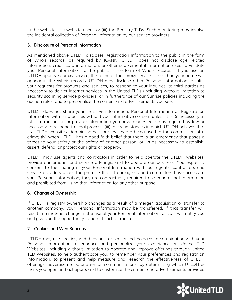(i) the websites; (ii) website users; or (iii) the Registry TLDs. Such monitoring may involve the incidental collection of Personal Information by our service providers.

## 5. Disclosure of Personal Information

As mentioned above UTLDH discloses Registration Information to the public in the form of Whois records, as required by ICANN. UTLDH does not disclose age related information, credit card information, or other supplemental information used to validate your Personal Information to the public in the form of Whois records. If you use an UTLDH approved proxy service, the name of that proxy service rather than your name will appear in the Whois records. UTLDH may disclose other Personal Information to fulfill your requests for products and services, to respond to your inquiries, to third parties as necessary to deliver internet services in the United TLDs (including without limitation to security scanning service providers) or in furtherance of our Sunrise policies including the auction rules, and to personalize the content and advertisements you see.

UTLDH does not share your sensitive information, Personal Information or Registration Information with third parties without your affirmative consent unless it is: (i) necessary to fulfill a transaction or provide information you have requested; (ii) as required by law or necessary to respond to legal process; (iii) in circumstances in which UTLDH believes that its UTLDH websites, domain names, or services are being used in the commission of a crime; (iv) when UTLDH has a good faith belief that there is an emergency that poses a threat to your safety or the safety of another person; or (v) as necessary to establish, assert, defend, or protect our rights or property.

UTLDH may use agents and contractors in order to help operate the UTLDH websites, provide our product and service offerings, and to operate our business. You expressly consent to the sharing of your Personal Information with our agents, contractors and service providers under the premise that, if our agents and contractors have access to your Personal Information, they are contractually required to safeguard that information and prohibited from using that information for any other purpose.

## 6. Change of Ownership

If UTLDH's registry ownership changes as a result of a merger, acquisition or transfer to another company, your Personal Information may be transferred. If that transfer will result in a material change in the use of your Personal Information, UTLDH will notify you and give you the opportunity to permit such a transfer.

## 7. Cookies and Web Beacons

UTLDH may use cookies, web beacons, or similar technologies in combination with your Personal Information to enhance and personalize your experience on United TLD Websites, including without limitation to operate and improve offerings through United TLD Websites, to help authenticate you, to remember your preferences and registration information, to present and help measure and research the effectiveness of UTLDH offerings, advertisements, and e-mail communications (by determining which UTLDH emails you open and act upon), and to customize the content and advertisements provided